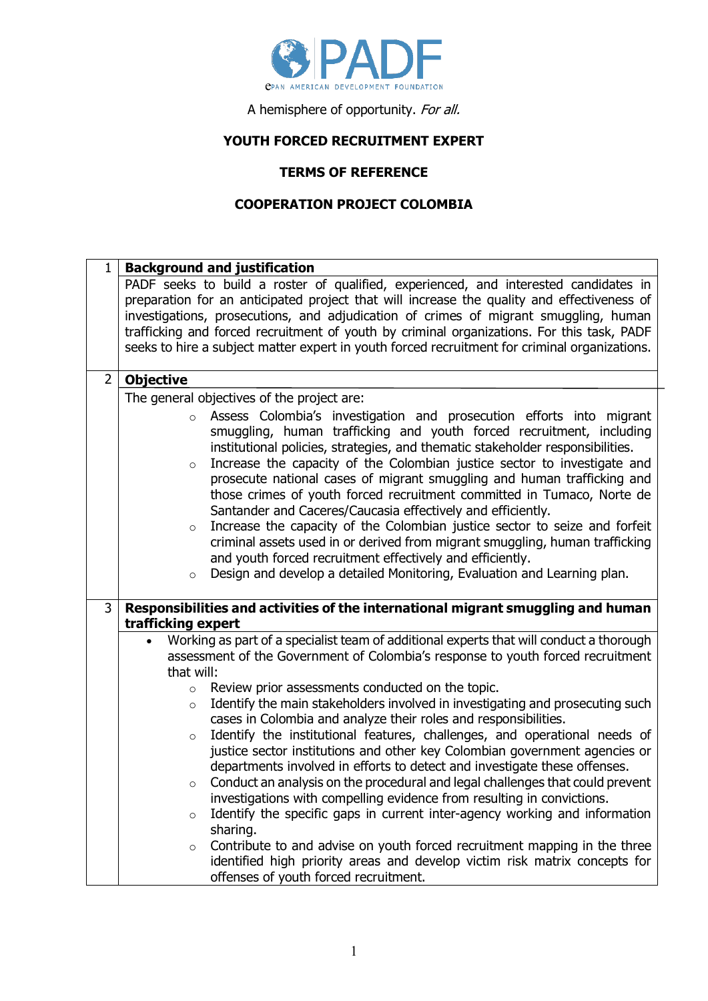

A hemisphere of opportunity. For all.

## **YOUTH FORCED RECRUITMENT EXPERT**

## **TERMS OF REFERENCE**

## **COOPERATION PROJECT COLOMBIA**

| 1              | <b>Background and justification</b>                                                                                                                                                |
|----------------|------------------------------------------------------------------------------------------------------------------------------------------------------------------------------------|
|                | PADF seeks to build a roster of qualified, experienced, and interested candidates in<br>preparation for an anticipated project that will increase the quality and effectiveness of |
|                | investigations, prosecutions, and adjudication of crimes of migrant smuggling, human                                                                                               |
|                | trafficking and forced recruitment of youth by criminal organizations. For this task, PADF                                                                                         |
|                | seeks to hire a subject matter expert in youth forced recruitment for criminal organizations.                                                                                      |
| $\overline{2}$ | <b>Objective</b>                                                                                                                                                                   |
|                | The general objectives of the project are:                                                                                                                                         |
|                | Assess Colombia's investigation and prosecution efforts into migrant<br>$\circ$                                                                                                    |
|                | smuggling, human trafficking and youth forced recruitment, including                                                                                                               |
|                | institutional policies, strategies, and thematic stakeholder responsibilities.<br>Increase the capacity of the Colombian justice sector to investigate and                         |
|                | $\circ$<br>prosecute national cases of migrant smuggling and human trafficking and                                                                                                 |
|                | those crimes of youth forced recruitment committed in Tumaco, Norte de                                                                                                             |
|                | Santander and Caceres/Caucasia effectively and efficiently.                                                                                                                        |
|                | Increase the capacity of the Colombian justice sector to seize and forfeit<br>$\circ$                                                                                              |
|                | criminal assets used in or derived from migrant smuggling, human trafficking<br>and youth forced recruitment effectively and efficiently.                                          |
|                | Design and develop a detailed Monitoring, Evaluation and Learning plan.<br>$\circ$                                                                                                 |
|                |                                                                                                                                                                                    |
| $\overline{3}$ | Responsibilities and activities of the international migrant smuggling and human<br>trafficking expert                                                                             |
|                | Working as part of a specialist team of additional experts that will conduct a thorough<br>$\bullet$                                                                               |
|                | assessment of the Government of Colombia's response to youth forced recruitment                                                                                                    |
|                | that will:                                                                                                                                                                         |
|                | Review prior assessments conducted on the topic.<br>$\circ$<br>Identify the main stakeholders involved in investigating and prosecuting such                                       |
|                | $\circ$<br>cases in Colombia and analyze their roles and responsibilities.                                                                                                         |
|                | Identify the institutional features, challenges, and operational needs of<br>$\circ$                                                                                               |
|                | justice sector institutions and other key Colombian government agencies or                                                                                                         |
|                | departments involved in efforts to detect and investigate these offenses.                                                                                                          |
|                | Conduct an analysis on the procedural and legal challenges that could prevent<br>$\circ$                                                                                           |
|                | investigations with compelling evidence from resulting in convictions.<br>Identify the specific gaps in current inter-agency working and information                               |
|                | $\circ$<br>sharing.                                                                                                                                                                |
|                | Contribute to and advise on youth forced recruitment mapping in the three<br>$\circ$                                                                                               |
|                | identified high priority areas and develop victim risk matrix concepts for                                                                                                         |
|                | offenses of youth forced recruitment.                                                                                                                                              |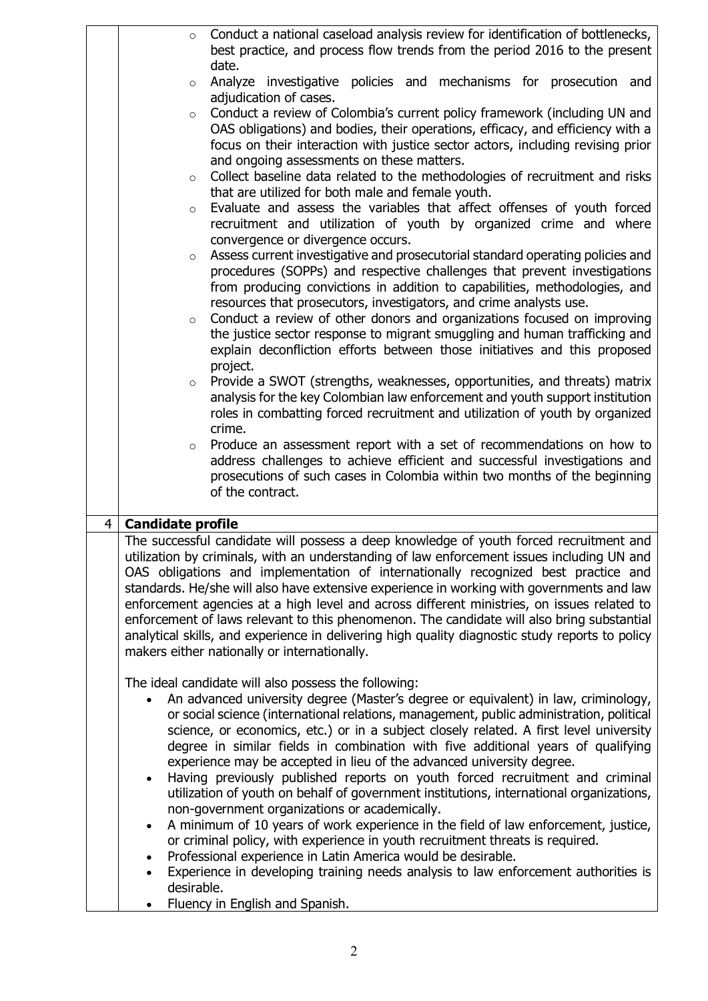|                | $\circ$                                                                                         | Conduct a national caseload analysis review for identification of bottlenecks,             |  |
|----------------|-------------------------------------------------------------------------------------------------|--------------------------------------------------------------------------------------------|--|
|                |                                                                                                 | best practice, and process flow trends from the period 2016 to the present                 |  |
|                |                                                                                                 | date.                                                                                      |  |
|                | $\circ$                                                                                         | Analyze investigative policies and mechanisms for prosecution and                          |  |
|                |                                                                                                 | adjudication of cases.                                                                     |  |
|                | $\circ$                                                                                         | Conduct a review of Colombia's current policy framework (including UN and                  |  |
|                |                                                                                                 | OAS obligations) and bodies, their operations, efficacy, and efficiency with a             |  |
|                |                                                                                                 | focus on their interaction with justice sector actors, including revising prior            |  |
|                |                                                                                                 | and ongoing assessments on these matters.                                                  |  |
|                | $\circ$                                                                                         | Collect baseline data related to the methodologies of recruitment and risks                |  |
|                |                                                                                                 | that are utilized for both male and female youth.                                          |  |
|                | $\circ$                                                                                         | Evaluate and assess the variables that affect offenses of youth forced                     |  |
|                |                                                                                                 | recruitment and utilization of youth by organized crime and where                          |  |
|                |                                                                                                 | convergence or divergence occurs.                                                          |  |
|                | $\circ$                                                                                         | Assess current investigative and prosecutorial standard operating policies and             |  |
|                |                                                                                                 | procedures (SOPPs) and respective challenges that prevent investigations                   |  |
|                |                                                                                                 | from producing convictions in addition to capabilities, methodologies, and                 |  |
|                |                                                                                                 | resources that prosecutors, investigators, and crime analysts use.                         |  |
|                | $\circ$                                                                                         | Conduct a review of other donors and organizations focused on improving                    |  |
|                |                                                                                                 | the justice sector response to migrant smuggling and human trafficking and                 |  |
|                |                                                                                                 | explain deconfliction efforts between those initiatives and this proposed                  |  |
|                |                                                                                                 | project.                                                                                   |  |
|                | $\circ$                                                                                         | Provide a SWOT (strengths, weaknesses, opportunities, and threats) matrix                  |  |
|                |                                                                                                 | analysis for the key Colombian law enforcement and youth support institution               |  |
|                |                                                                                                 | roles in combatting forced recruitment and utilization of youth by organized               |  |
|                |                                                                                                 | crime.                                                                                     |  |
|                | $\circ$                                                                                         | Produce an assessment report with a set of recommendations on how to                       |  |
|                |                                                                                                 | address challenges to achieve efficient and successful investigations and                  |  |
|                |                                                                                                 | prosecutions of such cases in Colombia within two months of the beginning                  |  |
|                |                                                                                                 | of the contract.                                                                           |  |
| $\overline{4}$ | <b>Candidate profile</b>                                                                        |                                                                                            |  |
|                |                                                                                                 | The successful candidate will possess a deep knowledge of youth forced recruitment and     |  |
|                |                                                                                                 | utilization by criminals, with an understanding of law enforcement issues including UN and |  |
|                | OAS obligations and implementation of internationally recognized best practice and              |                                                                                            |  |
|                | standards. He/she will also have extensive experience in working with governments and law       |                                                                                            |  |
|                | enforcement agencies at a high level and across different ministries, on issues related to      |                                                                                            |  |
|                | enforcement of laws relevant to this phenomenon. The candidate will also bring substantial      |                                                                                            |  |
|                | analytical skills, and experience in delivering high quality diagnostic study reports to policy |                                                                                            |  |
|                | makers either nationally or internationally.                                                    |                                                                                            |  |
|                |                                                                                                 |                                                                                            |  |
|                |                                                                                                 | The ideal candidate will also possess the following:                                       |  |
|                |                                                                                                 | An advanced university degree (Master's degree or equivalent) in law, criminology,         |  |
|                |                                                                                                 | or social science (international relations, management, public administration, political   |  |
|                |                                                                                                 | science, or economics, etc.) or in a subject closely related. A first level university     |  |
|                |                                                                                                 | degree in similar fields in combination with five additional years of qualifying           |  |
|                |                                                                                                 | experience may be accepted in lieu of the advanced university degree.                      |  |
|                | $\bullet$                                                                                       | Having previously published reports on youth forced recruitment and criminal               |  |
|                |                                                                                                 | utilization of youth on behalf of government institutions, international organizations,    |  |
|                |                                                                                                 | non-government organizations or academically.                                              |  |
|                | A minimum of 10 years of work experience in the field of law enforcement, justice,<br>$\bullet$ |                                                                                            |  |
|                |                                                                                                 | or criminal policy, with experience in youth recruitment threats is required.              |  |
|                | $\bullet$                                                                                       | Professional experience in Latin America would be desirable.                               |  |
|                | $\bullet$                                                                                       | Experience in developing training needs analysis to law enforcement authorities is         |  |
|                | desirable.                                                                                      |                                                                                            |  |
|                | $\bullet$                                                                                       | Fluency in English and Spanish.                                                            |  |